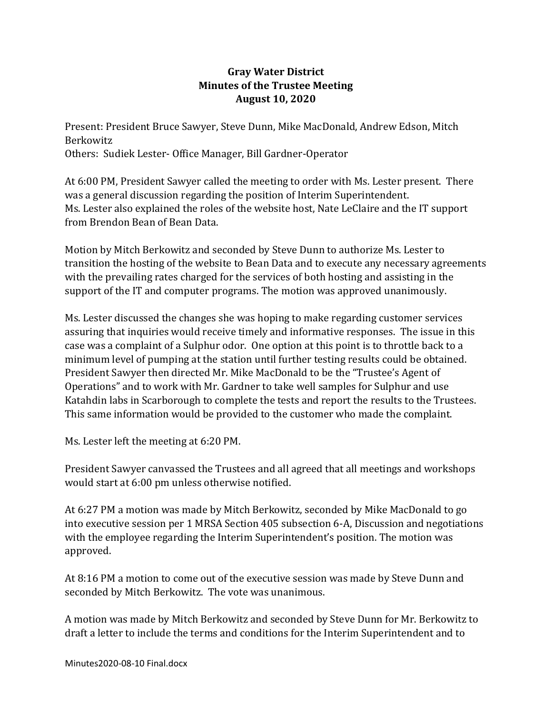## **Gray Water District Minutes of the Trustee Meeting August 10, 2020**

Present: President Bruce Sawyer, Steve Dunn, Mike MacDonald, Andrew Edson, Mitch Berkowitz Others: Sudiek Lester- Office Manager, Bill Gardner-Operator

At 6:00 PM, President Sawyer called the meeting to order with Ms. Lester present. There was a general discussion regarding the position of Interim Superintendent. Ms. Lester also explained the roles of the website host, Nate LeClaire and the IT support from Brendon Bean of Bean Data.

Motion by Mitch Berkowitz and seconded by Steve Dunn to authorize Ms. Lester to transition the hosting of the website to Bean Data and to execute any necessary agreements with the prevailing rates charged for the services of both hosting and assisting in the support of the IT and computer programs. The motion was approved unanimously.

Ms. Lester discussed the changes she was hoping to make regarding customer services assuring that inquiries would receive timely and informative responses. The issue in this case was a complaint of a Sulphur odor. One option at this point is to throttle back to a minimum level of pumping at the station until further testing results could be obtained. President Sawyer then directed Mr. Mike MacDonald to be the "Trustee's Agent of Operations" and to work with Mr. Gardner to take well samples for Sulphur and use Katahdin labs in Scarborough to complete the tests and report the results to the Trustees. This same information would be provided to the customer who made the complaint.

Ms. Lester left the meeting at 6:20 PM.

President Sawyer canvassed the Trustees and all agreed that all meetings and workshops would start at 6:00 pm unless otherwise notified.

At 6:27 PM a motion was made by Mitch Berkowitz, seconded by Mike MacDonald to go into executive session per 1 MRSA Section 405 subsection 6-A, Discussion and negotiations with the employee regarding the Interim Superintendent's position. The motion was approved.

At 8:16 PM a motion to come out of the executive session was made by Steve Dunn and seconded by Mitch Berkowitz. The vote was unanimous.

A motion was made by Mitch Berkowitz and seconded by Steve Dunn for Mr. Berkowitz to draft a letter to include the terms and conditions for the Interim Superintendent and to